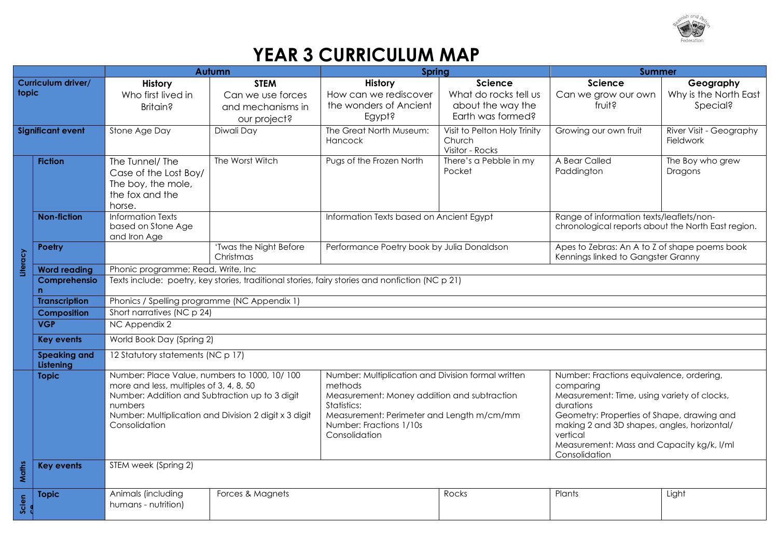

## **YEAR 3 CURRICULUM MAP**

|                                                           |                      | <b>Autumn</b>                                                                                   |                        | Spring                                                        |                                                            | <b>Summer</b>                                         |                             |  |
|-----------------------------------------------------------|----------------------|-------------------------------------------------------------------------------------------------|------------------------|---------------------------------------------------------------|------------------------------------------------------------|-------------------------------------------------------|-----------------------------|--|
| Curriculum driver/                                        |                      | History                                                                                         | <b>STEM</b>            | <b>History</b>                                                | <b>Science</b>                                             | <b>Science</b>                                        | Geography                   |  |
| topic                                                     |                      | Who first lived in                                                                              | Can we use forces      | How can we rediscover                                         | What do rocks tell us                                      | Can we grow our own                                   | Why is the North East       |  |
|                                                           |                      | Britain?                                                                                        | and mechanisms in      | the wonders of Ancient                                        | about the way the                                          | fruit?                                                | Special?                    |  |
|                                                           |                      |                                                                                                 | our project?           | Egypt?                                                        | Earth was formed?                                          |                                                       |                             |  |
| <b>Significant event</b>                                  |                      | Stone Age Day                                                                                   | Diwali Day             | The Great North Museum:                                       | Visit to Pelton Holy Trinity                               | Growing our own fruit                                 | River Visit - Geography     |  |
|                                                           |                      |                                                                                                 |                        | Hancock                                                       | Church                                                     |                                                       | Fieldwork                   |  |
|                                                           |                      |                                                                                                 | The Worst Witch        | Pugs of the Frozen North                                      | Visitor - Rocks<br>There's a Pebble in my                  | A Bear Called                                         |                             |  |
|                                                           | <b>Fiction</b>       | The Tunnel/ The                                                                                 |                        |                                                               | Pocket                                                     | Paddington                                            | The Boy who grew<br>Dragons |  |
|                                                           |                      | Case of the Lost Boy/<br>The boy, the mole,                                                     |                        |                                                               |                                                            |                                                       |                             |  |
|                                                           |                      | the fox and the                                                                                 |                        |                                                               |                                                            |                                                       |                             |  |
|                                                           |                      | horse.                                                                                          |                        |                                                               |                                                            |                                                       |                             |  |
|                                                           | <b>Non-fiction</b>   | <b>Information Texts</b>                                                                        |                        | Information Texts based on Ancient Egypt                      |                                                            | Range of information texts/leaflets/non-              |                             |  |
|                                                           |                      | based on Stone Age                                                                              |                        |                                                               |                                                            | chronological reports about the North East region.    |                             |  |
|                                                           |                      | and Iron Age                                                                                    |                        |                                                               |                                                            |                                                       |                             |  |
|                                                           | <b>Poetry</b>        |                                                                                                 | 'Twas the Night Before | Performance Poetry book by Julia Donaldson                    |                                                            | Apes to Zebras: An A to Z of shape poems book         |                             |  |
| Literacy                                                  |                      |                                                                                                 | Christmas              |                                                               |                                                            | Kennings linked to Gangster Granny                    |                             |  |
|                                                           | <b>Word reading</b>  | Phonic programme; Read, Write, Inc                                                              |                        |                                                               |                                                            |                                                       |                             |  |
|                                                           | Comprehensio         | Texts include: poetry, key stories, traditional stories, fairy stories and nonfiction (NC p 21) |                        |                                                               |                                                            |                                                       |                             |  |
|                                                           | <b>Transcription</b> | Phonics / Spelling programme (NC Appendix 1)                                                    |                        |                                                               |                                                            |                                                       |                             |  |
|                                                           | <b>Composition</b>   | Short narratives (NC p 24)                                                                      |                        |                                                               |                                                            |                                                       |                             |  |
|                                                           | <b>VGP</b>           | NC Appendix 2                                                                                   |                        |                                                               |                                                            |                                                       |                             |  |
|                                                           | <b>Key events</b>    | World Book Day (Spring 2)                                                                       |                        |                                                               |                                                            |                                                       |                             |  |
|                                                           | <b>Speaking and</b>  | 12 Statutory statements (NC p 17)                                                               |                        |                                                               |                                                            |                                                       |                             |  |
| Listening<br>Number: Place Value, numbers to 1000, 10/100 |                      |                                                                                                 |                        |                                                               |                                                            |                                                       |                             |  |
|                                                           | <b>Topic</b>         | more and less, multiples of 3, 4, 8, 50                                                         |                        | Number: Multiplication and Division formal written<br>methods |                                                            | Number: Fractions equivalence, ordering,<br>comparing |                             |  |
|                                                           |                      | Number: Addition and Subtraction up to 3 digit                                                  |                        | Measurement: Money addition and subtraction                   |                                                            | Measurement: Time, using variety of clocks,           |                             |  |
|                                                           |                      | numbers                                                                                         |                        | Statistics:                                                   |                                                            | durations                                             |                             |  |
|                                                           |                      | Number: Multiplication and Division 2 digit x 3 digit                                           |                        | Measurement: Perimeter and Length m/cm/mm                     |                                                            | Geometry: Properties of Shape, drawing and            |                             |  |
| Consolidation                                             |                      |                                                                                                 |                        | Number: Fractions 1/10s<br>Consolidation                      |                                                            | making 2 and 3D shapes, angles, horizontal/           |                             |  |
|                                                           |                      |                                                                                                 | vertical               |                                                               |                                                            |                                                       |                             |  |
|                                                           |                      |                                                                                                 |                        |                                                               | Measurement: Mass and Capacity kg/k, I/ml<br>Consolidation |                                                       |                             |  |
|                                                           | <b>Key events</b>    | STEM week (Spring 2)                                                                            |                        |                                                               |                                                            |                                                       |                             |  |
| Maths                                                     |                      |                                                                                                 |                        |                                                               |                                                            |                                                       |                             |  |
|                                                           | <b>Topic</b>         | Animals (including                                                                              | Forces & Magnets       |                                                               | Rocks                                                      | Plants                                                | Light                       |  |
| Scien                                                     |                      | humans - nutrition)                                                                             |                        |                                                               |                                                            |                                                       |                             |  |
|                                                           |                      |                                                                                                 |                        |                                                               |                                                            |                                                       |                             |  |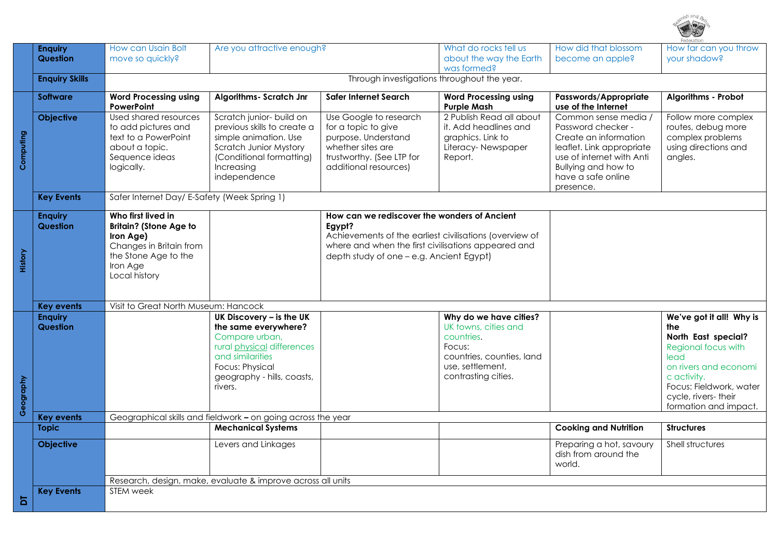

|           | <b>Enquiry</b><br><b>Question</b> | How can Usain Bolt<br>move so quickly?                                                                                                           | Are you attractive enough?                                                                                                                                                       |                                                                                                                                                                                                                      | What do rocks tell us<br>about the way the Earth                                                                                               | How did that blossom<br>become an apple?                                                                                                                                                | How far can you throw<br>your shadow?                                                                                                                                                                     |  |
|-----------|-----------------------------------|--------------------------------------------------------------------------------------------------------------------------------------------------|----------------------------------------------------------------------------------------------------------------------------------------------------------------------------------|----------------------------------------------------------------------------------------------------------------------------------------------------------------------------------------------------------------------|------------------------------------------------------------------------------------------------------------------------------------------------|-----------------------------------------------------------------------------------------------------------------------------------------------------------------------------------------|-----------------------------------------------------------------------------------------------------------------------------------------------------------------------------------------------------------|--|
|           | <b>Enquiry Skills</b>             |                                                                                                                                                  | was formed?<br>Through investigations throughout the year.                                                                                                                       |                                                                                                                                                                                                                      |                                                                                                                                                |                                                                                                                                                                                         |                                                                                                                                                                                                           |  |
|           | <b>Software</b>                   | <b>Word Processing using</b><br><b>PowerPoint</b>                                                                                                | Algorithms- Scratch Jnr                                                                                                                                                          | <b>Safer Internet Search</b>                                                                                                                                                                                         | <b>Word Processing using</b><br><b>Purple Mash</b>                                                                                             | Passwords/Appropriate<br>use of the Internet                                                                                                                                            | Algorithms - Probot                                                                                                                                                                                       |  |
| Computing | <b>Objective</b>                  | Used shared resources<br>to add pictures and<br>text to a PowerPoint<br>about a topic.<br>Sequence ideas<br>logically.                           | Scratch junior- build on<br>previous skills to create a<br>simple animation. Use<br><b>Scratch Junior Mystory</b><br>(Conditional formatting)<br>Increasing<br>independence      | Use Google to research<br>for a topic to give<br>purpose. Understand<br>whether sites are<br>trustworthy. (See LTP for<br>additional resources)                                                                      | 2 Publish Read all about<br>it. Add headlines and<br>graphics. Link to<br>Literacy-Newspaper<br>Report.                                        | Common sense media /<br>Password checker -<br>Create an information<br>leaflet. Link appropriate<br>use of internet with Anti<br>Bullying and how to<br>have a safe online<br>presence. | Follow more complex<br>routes, debug more<br>complex problems<br>using directions and<br>angles.                                                                                                          |  |
|           | <b>Key Events</b>                 | Safer Internet Day/ E-Safety (Week Spring 1)                                                                                                     |                                                                                                                                                                                  |                                                                                                                                                                                                                      |                                                                                                                                                |                                                                                                                                                                                         |                                                                                                                                                                                                           |  |
| History   | <b>Enquiry</b><br>Question        | Who first lived in<br><b>Britain? (Stone Age to</b><br>Iron Age)<br>Changes in Britain from<br>the Stone Age to the<br>Iron Age<br>Local history |                                                                                                                                                                                  | How can we rediscover the wonders of Ancient<br>Egypt?<br>Achievements of the earliest civilisations (overview of<br>where and when the first civilisations appeared and<br>depth study of one - e.g. Ancient Egypt) |                                                                                                                                                |                                                                                                                                                                                         |                                                                                                                                                                                                           |  |
|           | <b>Key events</b>                 | Visit to Great North Museum: Hancock                                                                                                             |                                                                                                                                                                                  |                                                                                                                                                                                                                      |                                                                                                                                                |                                                                                                                                                                                         |                                                                                                                                                                                                           |  |
| Geography | <b>Enquiry</b><br>Question        |                                                                                                                                                  | UK Discovery - is the UK<br>the same everywhere?<br>Compare urban,<br>rural physical differences<br>and similarities<br>Focus: Physical<br>geography - hills, coasts,<br>rivers. |                                                                                                                                                                                                                      | Why do we have cities?<br>UK towns, cities and<br>countries.<br>Focus:<br>countries, counties, land<br>use, settlement,<br>contrasting cities. |                                                                                                                                                                                         | We've got it all! Why is<br>the<br>North East special?<br>Regional focus with<br>lead<br>on rivers and economi<br>c activity.<br>Focus: Fieldwork, water<br>cycle, rivers- their<br>formation and impact. |  |
|           | <b>Key events</b>                 |                                                                                                                                                  | Geographical skills and fieldwork - on going across the year<br><b>Mechanical Systems</b>                                                                                        |                                                                                                                                                                                                                      |                                                                                                                                                |                                                                                                                                                                                         |                                                                                                                                                                                                           |  |
|           | <b>Topic</b>                      |                                                                                                                                                  |                                                                                                                                                                                  |                                                                                                                                                                                                                      |                                                                                                                                                | <b>Cooking and Nutrition</b>                                                                                                                                                            | <b>Structures</b>                                                                                                                                                                                         |  |
|           | <b>Objective</b>                  |                                                                                                                                                  | Levers and Linkages                                                                                                                                                              |                                                                                                                                                                                                                      |                                                                                                                                                | Preparing a hot, savoury<br>dish from around the<br>world.                                                                                                                              | Shell structures                                                                                                                                                                                          |  |
|           | <b>Key Events</b>                 | Research, design, make, evaluate & improve across all units<br><b>STEM</b> week                                                                  |                                                                                                                                                                                  |                                                                                                                                                                                                                      |                                                                                                                                                |                                                                                                                                                                                         |                                                                                                                                                                                                           |  |
| 5         |                                   |                                                                                                                                                  |                                                                                                                                                                                  |                                                                                                                                                                                                                      |                                                                                                                                                |                                                                                                                                                                                         |                                                                                                                                                                                                           |  |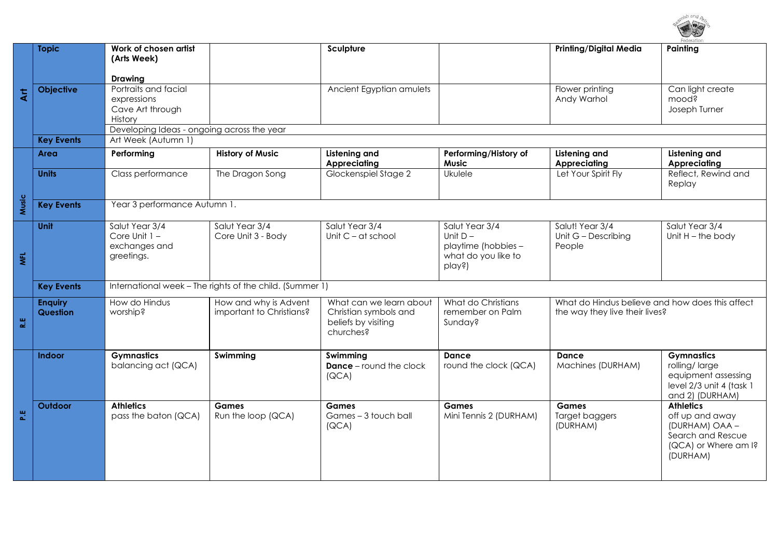

|                         | <b>Topic</b>                                                                           | Work of chosen artist                                                                                                    |                          | Sculpture                                                 |                                        | <b>Printing/Digital Media</b>                   | Painting                                    |  |  |
|-------------------------|----------------------------------------------------------------------------------------|--------------------------------------------------------------------------------------------------------------------------|--------------------------|-----------------------------------------------------------|----------------------------------------|-------------------------------------------------|---------------------------------------------|--|--|
|                         |                                                                                        | (Arts Week)                                                                                                              |                          |                                                           |                                        |                                                 |                                             |  |  |
|                         |                                                                                        | <b>Drawing</b>                                                                                                           |                          |                                                           |                                        |                                                 |                                             |  |  |
| $\overline{4}$          | <b>Objective</b>                                                                       | Portraits and facial<br>expressions                                                                                      |                          | Ancient Egyptian amulets                                  |                                        | Flower printing<br>Andy Warhol                  | Can light create<br>mood?                   |  |  |
|                         |                                                                                        | Cave Art through                                                                                                         |                          |                                                           |                                        |                                                 | Joseph Turner                               |  |  |
|                         |                                                                                        | History                                                                                                                  |                          |                                                           |                                        |                                                 |                                             |  |  |
|                         | Developing Ideas - ongoing across the year<br>Art Week (Autumn 1)<br><b>Key Events</b> |                                                                                                                          |                          |                                                           |                                        |                                                 |                                             |  |  |
|                         | Area                                                                                   | <b>History of Music</b><br>Listening and<br>Performing/History of<br><b>Listening and</b><br>Listening and<br>Performing |                          |                                                           |                                        |                                                 |                                             |  |  |
|                         |                                                                                        |                                                                                                                          |                          | <b>Appreciating</b>                                       | <b>Music</b>                           | <b>Appreciating</b>                             | Appreciating                                |  |  |
|                         | <b>Units</b>                                                                           | Class performance                                                                                                        | The Dragon Song          | Glockenspiel Stage 2                                      | Ukulele                                | Let Your Spirit Fly                             | Reflect, Rewind and<br>Replay               |  |  |
| Music                   | <b>Key Events</b>                                                                      | Year 3 performance Autumn 1.                                                                                             |                          |                                                           |                                        |                                                 |                                             |  |  |
|                         | Unit                                                                                   | Salut Year 3/4                                                                                                           | Salut Year 3/4           | Salut Year 3/4                                            | Salut Year 3/4                         | Salut! Year 3/4                                 | Salut Year 3/4                              |  |  |
|                         |                                                                                        | Core Unit 1 -<br>exchanges and                                                                                           | Core Unit 3 - Body       | Unit $C - at$ school                                      | Unit $D -$<br>playtime (hobbies -      | Unit G - Describing<br>People                   | Unit $H$ – the body                         |  |  |
| $\overline{\mathbf{z}}$ |                                                                                        | greetings.                                                                                                               |                          |                                                           | what do you like to                    |                                                 |                                             |  |  |
|                         |                                                                                        |                                                                                                                          |                          |                                                           | play?)                                 |                                                 |                                             |  |  |
|                         | <b>Key Events</b>                                                                      | International week - The rights of the child. (Summer 1)                                                                 |                          |                                                           |                                        |                                                 |                                             |  |  |
|                         | <b>Enquiry</b>                                                                         | How do Hindus                                                                                                            | How and why is Advent    | What can we learn about                                   | What do Christians<br>remember on Palm | What do Hindus believe and how does this affect |                                             |  |  |
| 쀥                       | Question                                                                               | worship?                                                                                                                 | important to Christians? | Christian symbols and<br>beliefs by visiting<br>churches? | Sunday?                                | the way they live their lives?                  |                                             |  |  |
|                         |                                                                                        |                                                                                                                          |                          |                                                           |                                        |                                                 |                                             |  |  |
|                         | Indoor                                                                                 | <b>Gymnastics</b><br>balancing act (QCA)                                                                                 | Swimming                 | Swimming<br><b>Dance</b> – round the clock                | <b>Dance</b><br>round the clock (QCA)  | <b>Dance</b><br>Machines (DURHAM)               | <b>Gymnastics</b><br>rolling/large          |  |  |
|                         |                                                                                        |                                                                                                                          |                          | (QCA)                                                     |                                        |                                                 | equipment assessing                         |  |  |
|                         |                                                                                        |                                                                                                                          |                          |                                                           |                                        |                                                 | level 2/3 unit 4 (task 1<br>and 2) (DURHAM) |  |  |
|                         | Outdoor                                                                                | <b>Athletics</b>                                                                                                         | <b>Games</b>             | <b>Games</b>                                              | <b>Games</b>                           | <b>Games</b>                                    | <b>Athletics</b>                            |  |  |
| 쁪                       |                                                                                        | pass the baton (QCA)                                                                                                     | Run the loop (QCA)       | Games - 3 touch ball                                      | Mini Tennis 2 (DURHAM)                 | Target baggers                                  | off up and away                             |  |  |
|                         |                                                                                        |                                                                                                                          |                          | (QCA)                                                     |                                        | (DURHAM)                                        | (DURHAM) OAA -<br>Search and Rescue         |  |  |
|                         |                                                                                        |                                                                                                                          |                          |                                                           |                                        |                                                 | (QCA) or Where am I?<br>(DURHAM)            |  |  |
|                         |                                                                                        |                                                                                                                          |                          |                                                           |                                        |                                                 |                                             |  |  |